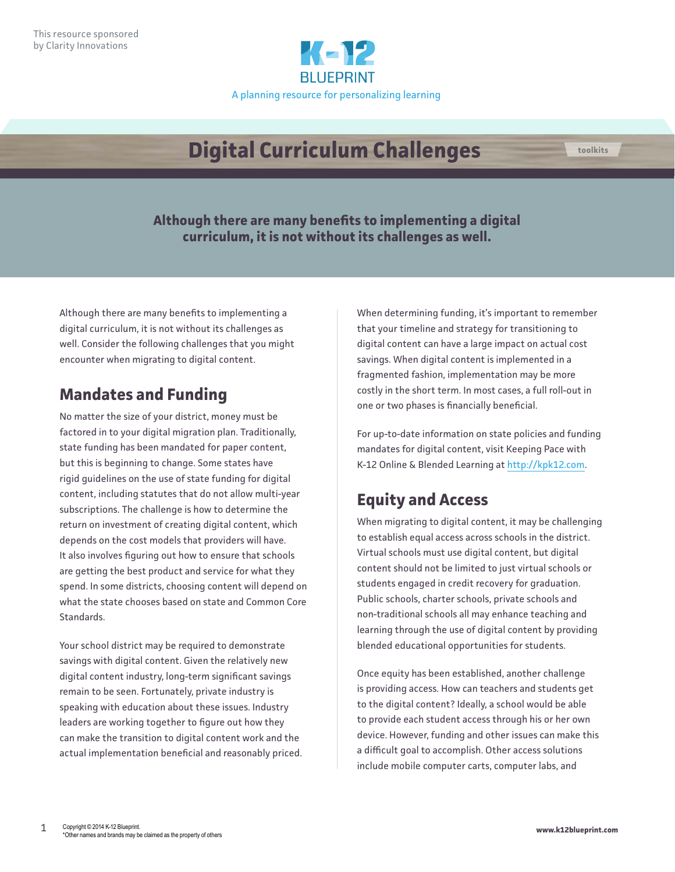

# **Digital Curriculum Challenges**

**Although there are many benefits to implementing a digital curriculum, it is not without its challenges as well.** 

Although there are many benefits to implementing a digital curriculum, it is not without its challenges as well. Consider the following challenges that you might encounter when migrating to digital content.

### **Mandates and Funding**

No matter the size of your district, money must be factored in to your digital migration plan. Traditionally, state funding has been mandated for paper content, but this is beginning to change. Some states have rigid guidelines on the use of state funding for digital content, including statutes that do not allow multi-year subscriptions. The challenge is how to determine the return on investment of creating digital content, which depends on the cost models that providers will have. It also involves figuring out how to ensure that schools are getting the best product and service for what they spend. In some districts, choosing content will depend on what the state chooses based on state and Common Core Standards.

Your school district may be required to demonstrate savings with digital content. Given the relatively new digital content industry, long-term significant savings remain to be seen. Fortunately, private industry is speaking with education about these issues. Industry leaders are working together to figure out how they can make the transition to digital content work and the actual implementation beneficial and reasonably priced. When determining funding, it's important to remember that your timeline and strategy for transitioning to digital content can have a large impact on actual cost savings. When digital content is implemented in a fragmented fashion, implementation may be more costly in the short term. In most cases, a full roll-out in one or two phases is financially beneficial.

For up-to-date information on state policies and funding mandates for digital content, visit Keeping Pace with K-12 Online & Blended Learning at [http://kpk12.com.](http://kpk12.com/)

### **Equity and Access**

When migrating to digital content, it may be challenging to establish equal access across schools in the district. Virtual schools must use digital content, but digital content should not be limited to just virtual schools or students engaged in credit recovery for graduation. Public schools, charter schools, private schools and non-traditional schools all may enhance teaching and learning through the use of digital content by providing blended educational opportunities for students.

Once equity has been established, another challenge is providing access. How can teachers and students get to the digital content? Ideally, a school would be able to provide each student access through his or her own device. However, funding and other issues can make this a difficult goal to accomplish. Other access solutions include mobile computer carts, computer labs, and

**toolkits**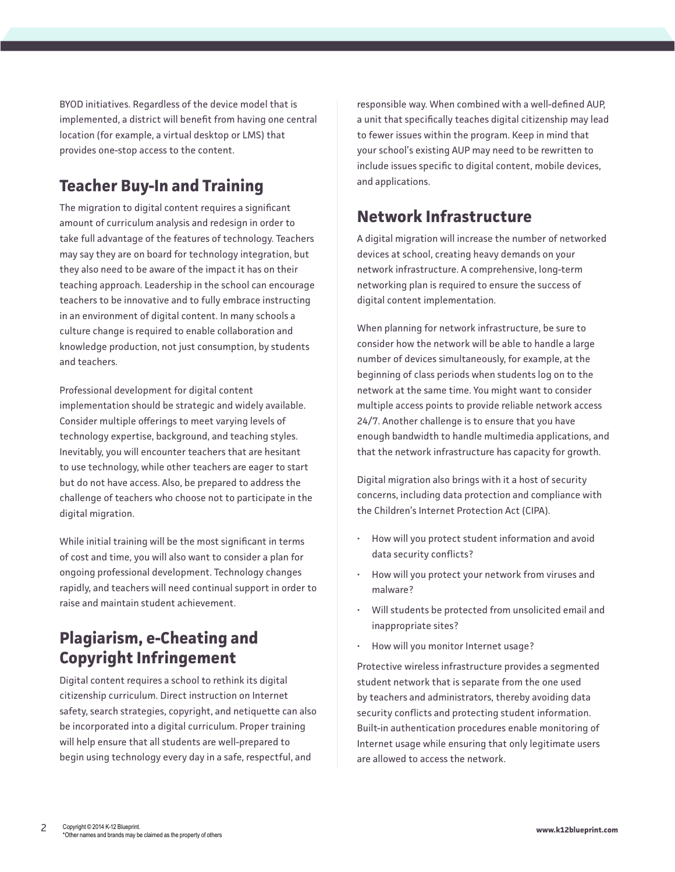BYOD initiatives. Regardless of the device model that is implemented, a district will benefit from having one central location (for example, a virtual desktop or LMS) that provides one-stop access to the content.

### **Teacher Buy-In and Training**

The migration to digital content requires a significant amount of curriculum analysis and redesign in order to take full advantage of the features of technology. Teachers may say they are on board for technology integration, but they also need to be aware of the impact it has on their teaching approach. Leadership in the school can encourage teachers to be innovative and to fully embrace instructing in an environment of digital content. In many schools a culture change is required to enable collaboration and knowledge production, not just consumption, by students and teachers.

Professional development for digital content implementation should be strategic and widely available. Consider multiple offerings to meet varying levels of technology expertise, background, and teaching styles. Inevitably, you will encounter teachers that are hesitant to use technology, while other teachers are eager to start but do not have access. Also, be prepared to address the challenge of teachers who choose not to participate in the digital migration.

While initial training will be the most significant in terms of cost and time, you will also want to consider a plan for ongoing professional development. Technology changes rapidly, and teachers will need continual support in order to raise and maintain student achievement.

#### **Plagiarism, e-Cheating and Copyright Infringement**

Digital content requires a school to rethink its digital citizenship curriculum. Direct instruction on Internet safety, search strategies, copyright, and netiquette can also be incorporated into a digital curriculum. Proper training will help ensure that all students are well-prepared to begin using technology every day in a safe, respectful, and

responsible way. When combined with a well-defined AUP, a unit that specifically teaches digital citizenship may lead to fewer issues within the program. Keep in mind that your school's existing AUP may need to be rewritten to include issues specific to digital content, mobile devices, and applications.

#### **Network Infrastructure**

A digital migration will increase the number of networked devices at school, creating heavy demands on your network infrastructure. A comprehensive, long-term networking plan is required to ensure the success of digital content implementation.

When planning for network infrastructure, be sure to consider how the network will be able to handle a large number of devices simultaneously, for example, at the beginning of class periods when students log on to the network at the same time. You might want to consider multiple access points to provide reliable network access 24/7. Another challenge is to ensure that you have enough bandwidth to handle multimedia applications, and that the network infrastructure has capacity for growth.

Digital migration also brings with it a host of security concerns, including data protection and compliance with the Children's Internet Protection Act (CIPA).

- How will you protect student information and avoid data security conflicts?
- How will you protect your network from viruses and malware?
- Will students be protected from unsolicited email and inappropriate sites?
- How will you monitor Internet usage?

Protective wireless infrastructure provides a segmented student network that is separate from the one used by teachers and administrators, thereby avoiding data security conflicts and protecting student information. Built-in authentication procedures enable monitoring of Internet usage while ensuring that only legitimate users are allowed to access the network.